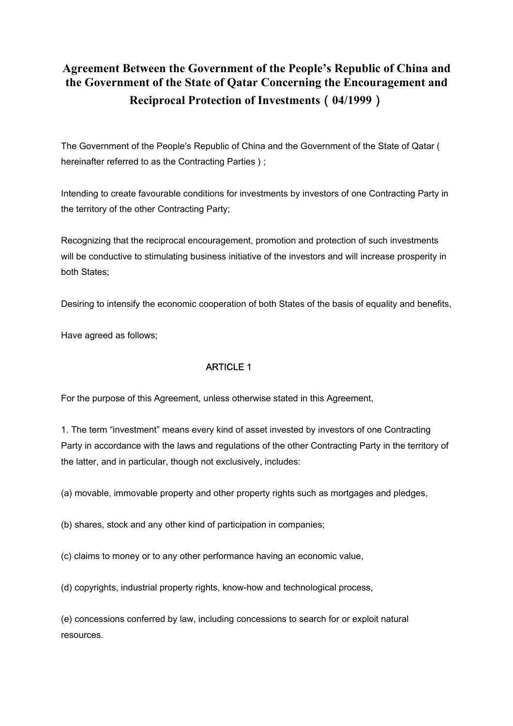# **Agreement Between the Government of the People's Republic of China and the Government of the State of Qatar Concerning the Encouragement and Reciprocal Protection of Investments**(**04/1999**)

The Government of the People's Republic of China and the Government of the State of Qatar ( hereinafter referred to as the Contracting Parties );

Intending to create favourable conditions for investments by investors of one Contracting Party in the territory of the other Contracting Party;

Recognizing that the reciprocal encouragement, promotion and protection of such investments will be conductive to stimulating business initiative of the investors and will increase prosperity in both States;

Desiring to intensify the economic cooperation of both States of the basis of equality and benefits,

Have agreed as follows;

## ARTICLE 1

For the purpose of this Agreement, unless otherwise stated in this Agreement,

1. The term "investment" means every kind of asset invested by investors of one Contracting Party in accordance with the laws and regulations of the other Contracting Party in the territory of the latter, and in particular, though not exclusively, includes:

(a) movable, immovable property and other property rights such as mortgages and pledges,

(b) shares, stock and any other kind of participation in companies;

(c) claims to money or to any other performance having an economic value,

(d) copyrights, industrial property rights, know-how and technological process,

(e) concessions conferred by law, including concessions to search for or exploit natural resources.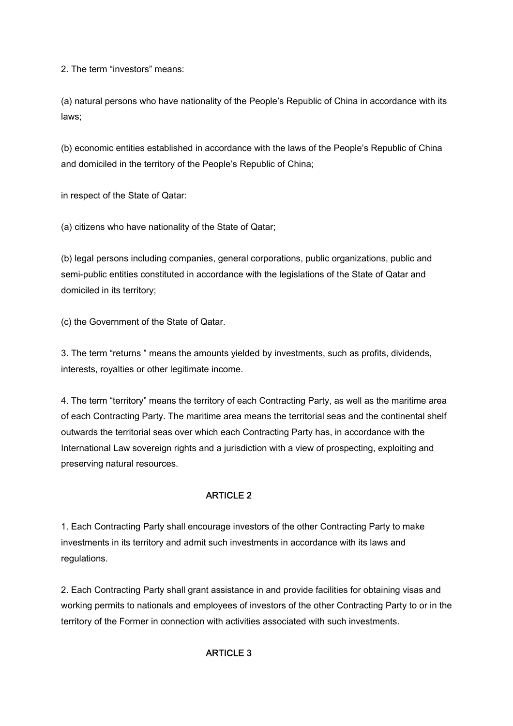2. The term "investors" means:

(a) natural persons who have nationality of the People's Republic of China in accordance with its laws;

(b) economic entities established in accordance with the laws of the People's Republic of China and domiciled in the territory of the People's Republic of China;

in respect of the State of Qatar:

(a) citizens who have nationality of the State of Qatar;

(b) legal persons including companies, general corporations, public organizations, public and semi-public entities constituted in accordance with the legislations of the State of Qatar and domiciled in its territory;

(c) the Government of the State of Qatar.

3. The term "returns " means the amounts yielded by investments, such as profits, dividends, interests, royalties or other legitimate income.

4. The term "territory" means the territory of each Contracting Party, as well as the maritime area of each Contracting Party. The maritime area means the territorial seas and the continental shelf outwards the territorial seas over which each Contracting Party has, in accordance with the International Law sovereign rights and a jurisdiction with a view of prospecting, exploiting and preserving natural resources.

## ARTICLE 2

1. Each Contracting Party shall encourage investors of the other Contracting Party to make investments in its territory and admit such investments in accordance with its laws and regulations.

2. Each Contracting Party shall grant assistance in and provide facilities for obtaining visas and working permits to nationals and employees of investors of the other Contracting Party to or in the territory of the Former in connection with activities associated with such investments.

### ARTICLE 3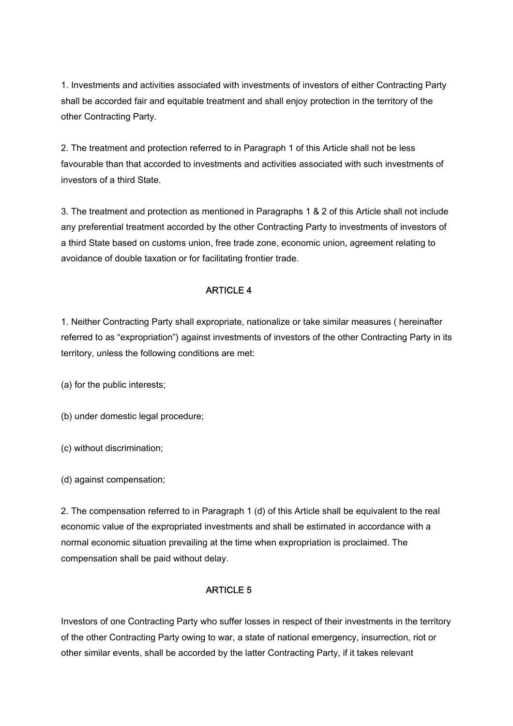1. Investments and activities associated with investments of investors of either Contracting Party shall be accorded fair and equitable treatment and shall enjoy protection in the territory of the other Contracting Party.

2. The treatment and protection referred to in Paragraph 1 of this Article shall not be less favourable than that accorded to investments and activities associated with such investments of investors of a third State.

3. The treatment and protection as mentioned in Paragraphs 1 & 2 of this Article shall not include any preferential treatment accorded by the other Contracting Party to investments of investors of a third State based on customs union, free trade zone, economic union, agreement relating to avoidance of double taxation or for facilitating frontier trade.

## ARTICLE 4

1. Neither Contracting Party shall expropriate, nationalize or take similar measures ( hereinafter referred to as "expropriation") against investments of investors of the other Contracting Party in its territory, unless the following conditions are met:

(a) for the public interests;

(b) under domestic legal procedure;

(c) without discrimination;

(d) against compensation;

2. The compensation referred to in Paragraph 1 (d) of this Article shall be equivalent to the real economic value of the expropriated investments and shall be estimated in accordance with a normal economic situation prevailing at the time when expropriation is proclaimed. The compensation shall be paid without delay.

### ARTICLE 5

Investors of one Contracting Party who suffer losses in respect of their investments in the territory of the other Contracting Party owing to war, a state of national emergency, insurrection, riot or other similar events, shall be accorded by the latter Contracting Party, if it takes relevant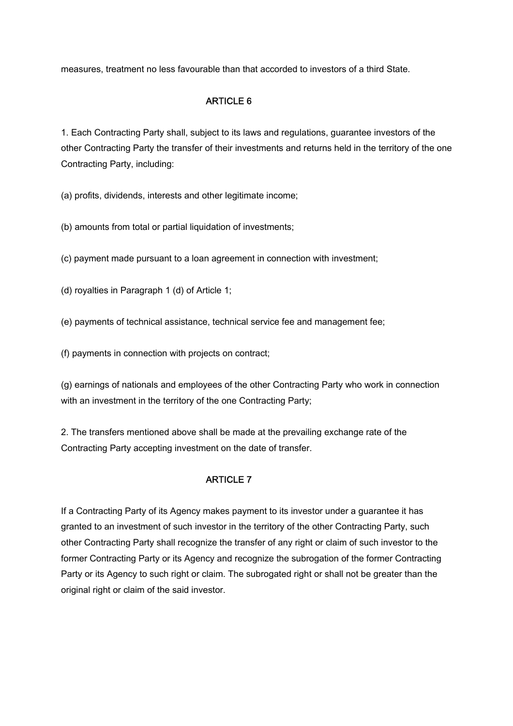measures, treatment no less favourable than that accorded to investors of a third State.

## ARTICLE 6

1. Each Contracting Party shall, subject to its laws and regulations, guarantee investors of the other Contracting Party the transfer of their investments and returns held in the territory of the one Contracting Party, including:

(a) profits, dividends, interests and other legitimate income;

(b) amounts from total or partial liquidation of investments;

(c) payment made pursuant to a loan agreement in connection with investment;

(d) royalties in Paragraph 1 (d) of Article 1;

(e) payments of technical assistance, technical service fee and management fee;

(f) payments in connection with projects on contract;

(g) earnings of nationals and employees of the other Contracting Party who work in connection with an investment in the territory of the one Contracting Party;

2. The transfers mentioned above shall be made at the prevailing exchange rate of the Contracting Party accepting investment on the date of transfer.

## ARTICLE 7

If a Contracting Party of its Agency makes payment to its investor under a guarantee it has granted to an investment of such investor in the territory of the other Contracting Party, such other Contracting Party shall recognize the transfer of any right or claim of such investor to the former Contracting Party or its Agency and recognize the subrogation of the former Contracting Party or its Agency to such right or claim. The subrogated right or shall not be greater than the original right or claim of the said investor.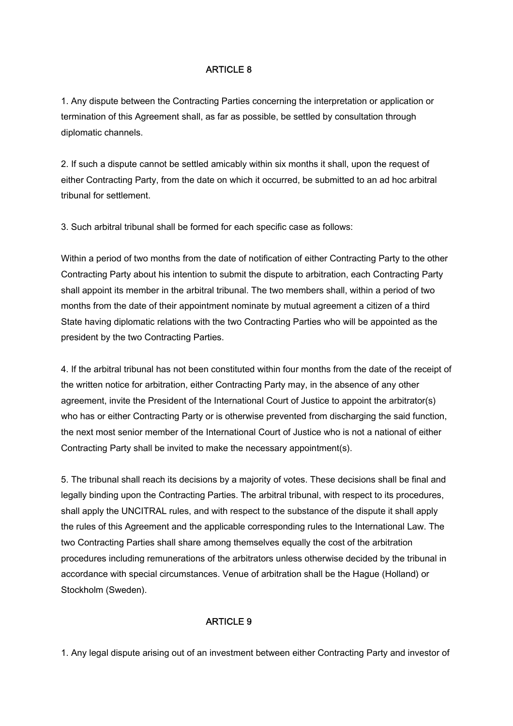## ARTICLE 8

1. Any dispute between the Contracting Parties concerning the interpretation or application or termination of this Agreement shall, as far as possible, be settled by consultation through diplomatic channels.

2. If such a dispute cannot be settled amicably within six months it shall, upon the request of either Contracting Party, from the date on which it occurred, be submitted to an ad hoc arbitral tribunal for settlement.

3. Such arbitral tribunal shall be formed for each specific case as follows:

Within a period of two months from the date of notification of either Contracting Party to the other Contracting Party about his intention to submit the dispute to arbitration, each Contracting Party shall appoint its member in the arbitral tribunal. The two members shall, within a period of two months from the date of their appointment nominate by mutual agreement a citizen of a third State having diplomatic relations with the two Contracting Parties who will be appointed as the president by the two Contracting Parties.

4. If the arbitral tribunal has not been constituted within four months from the date of the receipt of the written notice for arbitration, either Contracting Party may, in the absence of any other agreement, invite the President of the International Court of Justice to appoint the arbitrator(s) who has or either Contracting Party or is otherwise prevented from discharging the said function, the next most senior member of the International Court of Justice who is not a national of either Contracting Party shall be invited to make the necessary appointment(s).

5. The tribunal shall reach its decisions by a majority of votes. These decisions shall be final and legally binding upon the Contracting Parties. The arbitral tribunal, with respect to its procedures, shall apply the UNCITRAL rules, and with respect to the substance of the dispute it shall apply the rules of this Agreement and the applicable corresponding rules to the International Law. The two Contracting Parties shall share among themselves equally the cost of the arbitration procedures including remunerations of the arbitrators unless otherwise decided by the tribunal in accordance with special circumstances. Venue of arbitration shall be the Hague (Holland) or Stockholm (Sweden).

### ARTICLE 9

1. Any legal dispute arising out of an investment between either Contracting Party and investor of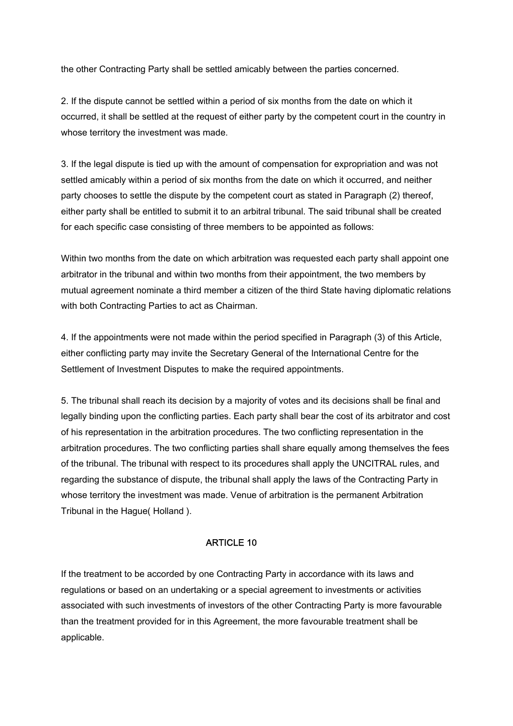the other Contracting Party shall be settled amicably between the parties concerned.

2. If the dispute cannot be settled within a period of six months from the date on which it occurred, it shall be settled at the request of either party by the competent court in the country in whose territory the investment was made.

3. If the legal dispute is tied up with the amount of compensation for expropriation and was not settled amicably within a period of six months from the date on which it occurred, and neither party chooses to settle the dispute by the competent court as stated in Paragraph (2) thereof, either party shall be entitled to submit it to an arbitral tribunal. The said tribunal shall be created for each specific case consisting of three members to be appointed as follows:

Within two months from the date on which arbitration was requested each party shall appoint one arbitrator in the tribunal and within two months from their appointment, the two members by mutual agreement nominate a third member a citizen of the third State having diplomatic relations with both Contracting Parties to act as Chairman.

4. If the appointments were not made within the period specified in Paragraph (3) of this Article, either conflicting party may invite the Secretary General of the International Centre for the Settlement of Investment Disputes to make the required appointments.

5. The tribunal shall reach its decision by a majority of votes and its decisions shall be final and legally binding upon the conflicting parties. Each party shall bear the cost of its arbitrator and cost of his representation in the arbitration procedures. The two conflicting representation in the arbitration procedures. The two conflicting parties shall share equally among themselves the fees of the tribunal. The tribunal with respect to its procedures shall apply the UNCITRAL rules, and regarding the substance of dispute, the tribunal shall apply the laws of the Contracting Party in whose territory the investment was made. Venue of arbitration is the permanent Arbitration Tribunal in the Hague( Holland ).

#### ARTICLE 10

If the treatment to be accorded by one Contracting Party in accordance with its laws and regulations or based on an undertaking or a special agreement to investments or activities associated with such investments of investors of the other Contracting Party is more favourable than the treatment provided for in this Agreement, the more favourable treatment shall be applicable.